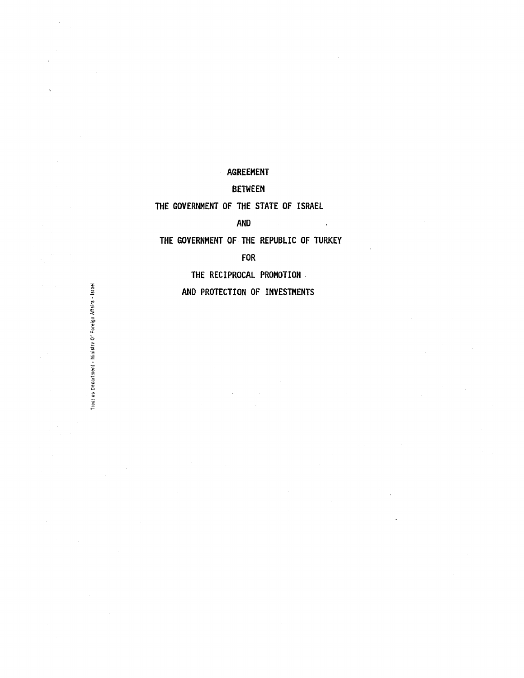# AGREEMENT

# BETWEEN

# THE GOVERNMENT OF THE STATE OF ISRAEL

AND

THE GOVERNMENT OF THE REPUBLIC OF TURKEY

 $\sim 10$ 

FOR

THE RECIPROCAL PROMOTION.

AND PROTECTION OF INVESTMENTS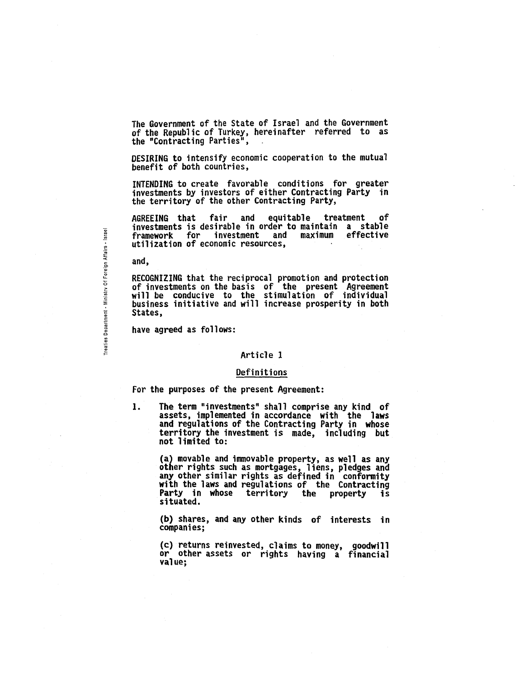The Government of the State of Israel and the Government of the Republic of Turkey, hereinafter referred to as the "Contracting Parties",

DESIRING to intensify economic cooperation to the mutual benefit of both countries,

INTENDING to create favorable conditions for greater investments by investors of either Contracting Party in the territory of the other Contracting Party,

AGREEING that fair and equitable treatment of investments is desirable in order to maintain a stable framework for investment and maximum effective utilization of economic resources,

and,

tmen

aties De  $\mathsf{r}$  if

RECOGNIZING that the reciprocal promotion and protection of investments on the basis of the present Agreement will be conducive to the stimulation of individual business initiative and will increase prosperity in both States,

have agreed as follows:

#### Article 1

#### Definitions

For the purposes of the present Agreement:

1. The term "investments" shall comprise any kind of assets, implemented in accordance with the laws and regulations of the Contracting Party in whose territory the investment is made, including but not limited to:

> (a) movable and immovable property, as well as any other rights such as mortgages, liens, pledges and any other similar rights as defined in conformity with the laws and regulations of the Contracting Party in whose territory the property is situated.

> (b) shares, and any other kinds of interests in companies;

> (c) returns reinvested, claims to money, goodwill or other assets or rights having a financial value;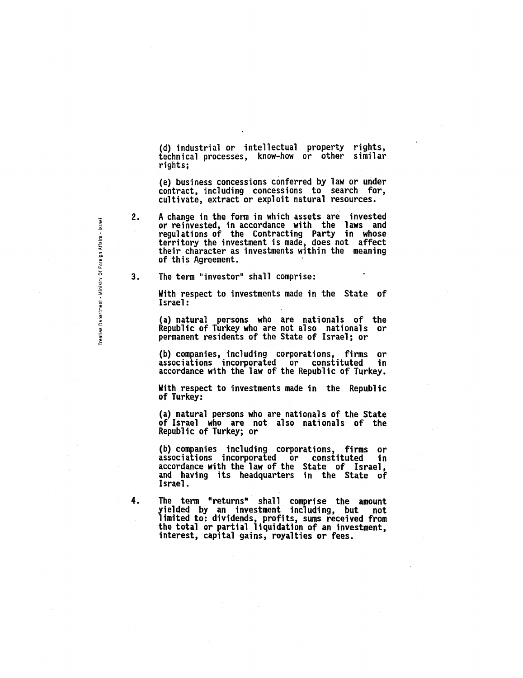(d) industrial or intellectual property rights, technical processes, know-how or other similar rights;

(e) business concessions conferred by law or under contract, including concessions to search for, cultivate, extract or exploit natural resources.

A change in the form in which assets are invested or reinvested, in accordance with the laws and regulations of the Contracting Party in whose territory the investment is made, does not affect their character as investments within the meaning of this Agreement.

3. The term "investor" shall comprise:

> With respect to investments made in the State of Israel:

> (a) natural persons who are nationals of the Republic of Turkey who are not also nationals or permanent residents of the State of Israel; or

> (b) companies, including corporations, firms or associations incorporated or constituted in accordance with the law of the Republic of Turkey.

> With respect to investments made in the Republic of Turkey:

(a) natural persons who are nationals of the State of Israel who are not also nationals of the Republic of Turkey; or

(b) companies including corporations, firms or associations incorporated or constituted in accordance with the law of the State of Israel,<br>and having its headquarters in the State of and having its headquarters in the State of<br>Israel.

4. The term "returns" shall comprise the amount yielded by an investment including, but not limited to: dividends, profits, sums received from the total or partial liquidation of an investment, interest, capital gains, royalties or fees.

Treaties Department - Ministry Of Foreign Affairs - Israel

2.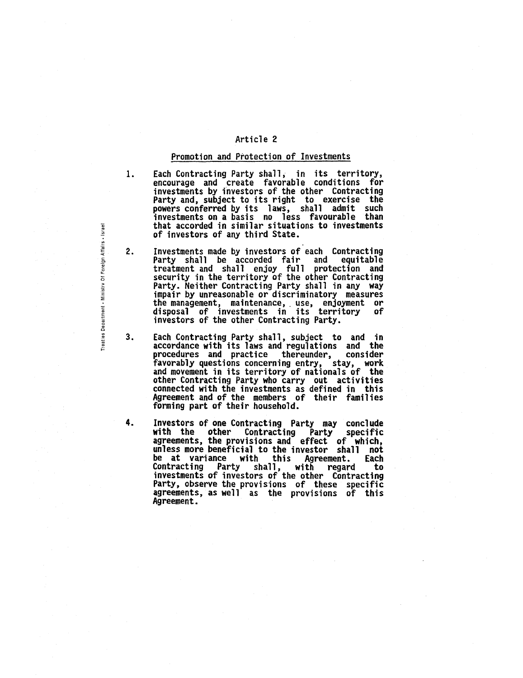#### Promotion and Protection of Investments

1.

- Each Contracting Party shall, in its territory, encourage and create favorable conditions for<br>investments by investors of the other Contracting investments by investors of the other Contracting Party and, subject to its right to exercise the powers conferred by its laws, shall admit such investments on a basis no less favourable than that accorded in similar situations to investments of investors of any third State.
- 2. Investments made by investors of each Contracting<br>Party shall be accorded fair and equitable<br>treatment and shall enjoy full protection and security in the territory of the other Contracting Party. Neither Contracting Party shall in any way impair by unreasonable or discriminatory measures the management, maintenance,. use, enjoyment or disposal of investments in its territory of investors of the other Contracting Party.
- 3. Each Contracting Party shall, subject to and in accordance with its laws and regulations and the procedures and practice thereunder, favorably questions concerning entry, stay, work and movement in its territory of nationals of the other Contracting Party who carry out activities connected with the investments as defined in this Agreement and of the members of their families forming part of their household.
- 4. Investors of one Contracting Party may conclude with the other Contracting Party specific<br>agreements, the provisions and effect of which, agreements, the provisions and effect of which, unless more beneficial to the investor shall not be at variance with this Agreement. Each Contracting Party shall, with regard to investments of investors of the other Contracting Party, observe the provisions of these specific agreements, as well as the provisions of this Agreement.

Treaties Department - Ministry Of Foreign Affairs - Israel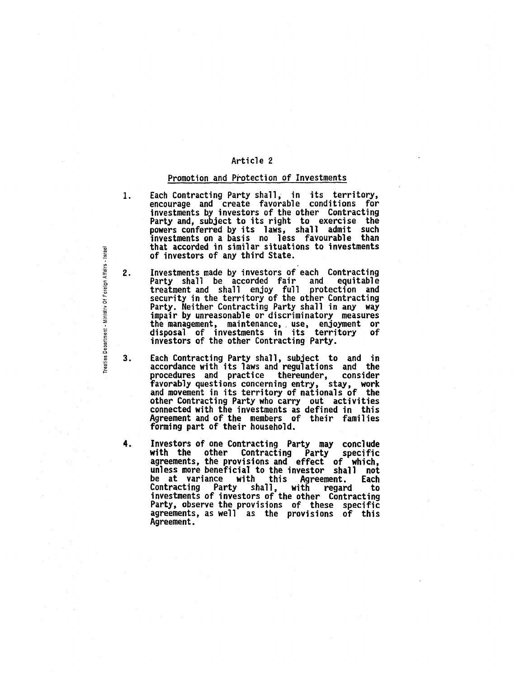#### Promotion and Protection of Investments

- 1. Each Contracting Party shall, in its territory, encourage and create favorable conditions for investments by investors of the other Contracting Party and, subject to its right to exercise the Party and, subject to its right to exercise the powers conferred by its laws, shall admit such investments on a basis no less favourable than that accorded in similar situations to investments of investors of any third State.
- 2. Investments made by investors of each Contracting Party shall be accorded fair and equitable treatment and shall enjoy full protection and security in the territory of the other Contracting Party. Neither Contracting Party shall in any way impair by unreasonable or discriminatory measures the management, maintenance, use, enjoyment or disposal of investments in its territory of investors of the other Contracting Party.
- 3. Each Contracting Party shall, subject to and in accordance with its laws and regulations and the procedures and practice thereunder, consider favorably questions concerning entry, stay, work and movement in its territory of nationals of the other Contracting Party who carry out activities connected with the investments as defined in this Agreement and of the members of their families forming part of their household.
- 4. Investors of one Contracting Party may conclude<br>with the other Contracting Party specific agreements, the provisions and effect of which,<br>unless more beneficial to the investor shall not be at variance with this Agreement. Each Contracting Party shall, with regard to investments of investors of the other Contracting Party, observe the provisions of these specific agreements, as well as the provisions of this Agreement.

Department

Treaties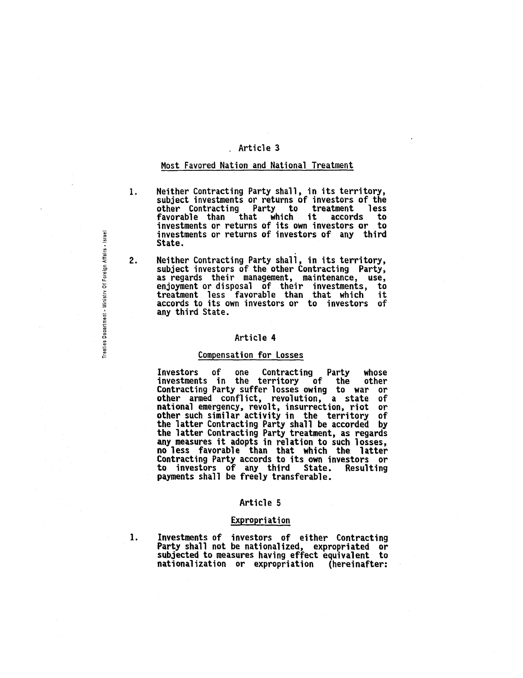# . Article 3

#### Most Favored Nation and National Treatment

2.

- 1. Neither Contracting Party shall, in its territory,<br>subject investments or returns of investors of the other Contracting Party to treatment less favorable than that which it accords to investments or returns of its own investors or to investments or returns of investors of any third State.
	- Neither Contracting Party shall, in its territory,<br>subject investors of the other Contracting Party,<br>as regards their management, maintenance, use, as regards their management, maintenance, use, enjoyment or disposal of their investments, to treatment less favorable than that which it accords to its own investors or to investors of any third State.

#### Article 4

#### Compensation for losses

Investors of one Contracting Party whose<br>investments in the territory of the other investments in the territory of the other<br>Contracting Party suffer losses owing to war or Contracting Party suffer losses owing to war other armed conflict, revolution, a state of national emergency, revolt, insurrection, riot or other such similar activity in the territory of the latter Contracting Party shall be accorded by the latter Contracting Party treatment, as regards the latter Contracting Party treatment, as regards<br>any measures it adopts in relation to such losses, no less favorable than that which the latter Contracting Party accords to its own investors or payments shall be freely transferable.

#### Article 5

#### Expropriation

1. Investments of investors of either Contracting Party shall not be nationalized, expropriated or subjected to measures having effect equivalent to nationalization or expropriation (hereinafter:

gn Aff Ministry Of For Treaties Department

Israel ..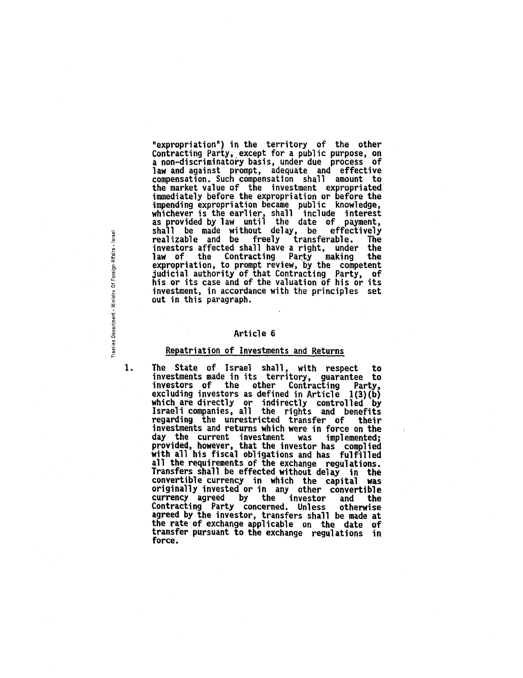"expropriation") in the territory of the other Contracting Party, except for a public purpose, on a non-discriminatory basis, under due process of law and against prompt, adequate and effective compensation. Such compensation shall amount to immediately before the expropriation or before the impending expropriation became public knowledge,<br>whichever is the earlier, shall include interest<br>as provided by law until the date of payment, as provided by law until the day, be effectively<br>realizable and be freely transferable. The<br>investors affected shall have a right, under the investors affected shall have a right, under law of the Contracting Party making the expropriation, to prompt review, by the competent judicial authority of that Contracting Party, of judicial authority of that Contracting Party, of<br>his or its case and of the valuation of his or its investment, in accordance with the principles set out in this paragraph.

#### Article 6

#### Repatriation of Investments and Returns

1.

Treaties Department - Ministry Of Foreign Affairs - Israel

The State of Israel shall, with respect to investments made in its territory, guarantee to<br>investors of the other Contracting Party, investors of the other Contracting Party, excluding investors as defined in Article 1(3)(b) which are directly or indirectly controlled by Israeli companies, all the rights and benefits regarding the unrestricted transfer of their investments and returns which were in force on the day the current investment was implemented;<br>provided, however, that the investor has complied<br>with all his fiscal obligations and has fulfilled<br>all the requirements of the exchange regulations. Transfers shall be effected without delay in the convertible currency in which the capital was originally invested or in any other convertible<br>currency agreed by the investor and the currency agreed by the investor and the Contracting Party concerned. Unless agreed by the investor, transfers shall be made at the rate of exchange applicable on the date of transfer pursuant to the exchange regulations in force.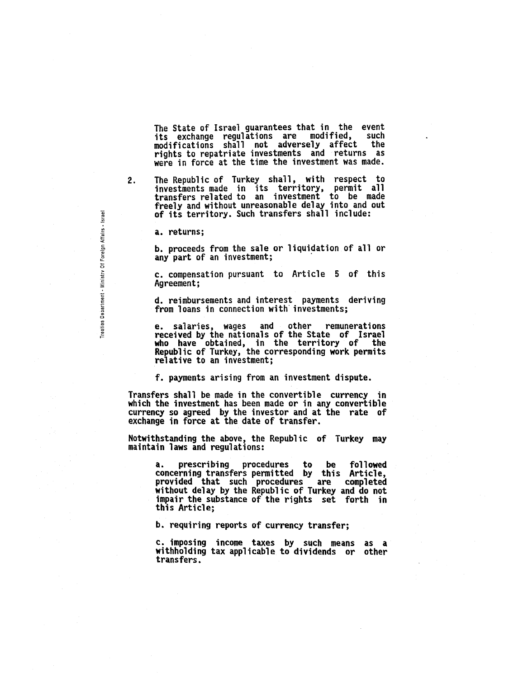The State of Israel guarantees that in the event its exchange regulations are modified, such modifications shall not adversely affect the rights to repatriate investments and returns as were in force at the time the investment was made.

2.

reaties Department - Ministry Of Foreign Affairs - Israel

The Republic of Turkey shall, with respect to investments made in its territory, permit all transfers related to an investment to be made freely and without unreasonable delay into and out of its territory. Such transfers shall include:

a. returns;

b. proceeds from the sale or liquidation of all or any part of an investment;

c. compensation pursuant to Article 5 of this Agreement;

d. reimbursements and interest payments deriving from loans in connection with' investments;

e. salaries, wages and other remunerations received by the nationals of the State of Israel who have obtained, in the territory of the Republic of Turkey, the corresponding work permits relative to an investment;

f. payments arising from an investment dispute.

Transfers shall be made in the convertible currency in which the investment has been made or in any convertible currency so agreed by the investor and at the rate of exchange in force at the date of transfer.

NotWithstanding the above, the Republic of Turkey may maintain laws and regulations:

a. prescribing procedures to be followed concerning transfers permitted by this Article, provided that such procedures are completed without delay by the Republic of Turkey and do not impair the substance of the rights set forth in this Article;

b. requiring reports of currency transfer;

c. imposing income taxes by such means as a withholding tax applicable to dividends or other transfers.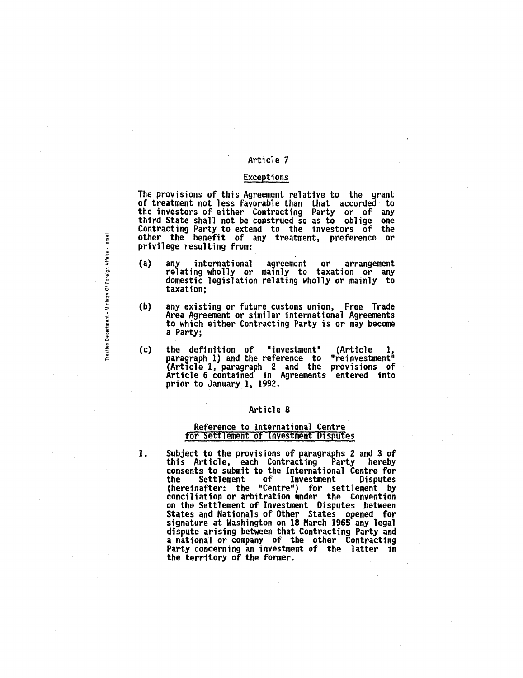#### Exceptions

The provisions of this Agreement relative to the grant of treatment not less favorable than that accorded to the investors of either Contracting Party or of any third State shall not be construed so as to oblige one Contracting Party to extend to the investors of the other the benefit of any treatment, preference or privilege resulting from:

- (a) any international agreement or arrangement relating wholly or mainly to taxation or any domestic legislation relating wholly or mainly to taxation;
- (b) any eXisting or future customs union, Free Trade Area Agreement or similar international Agreements to which either Contracting Party is or may become a Party;
- (c) the definition of "investment" (Article 1, paragraph 1) and the reference to "reinvestment" (Article 1, paragraph 2 and the provisions of Article 6 contained in Agreements entered into prior to January 1, 1992.

#### Article 8

#### Reference to International Centre for Settlement of Investment Disputes

1. Subject to the provisions of paragraphs 2 and 3 of<br>this Article, each Contracting Party hereby this Article, each Contracting Party consents to submit to the International Centre for the Settlement of Investment Disputes<br>(hereinafter: the "Centre") for settlement by (hereinafter: the "Centre") for settlement by<br>conciliation or arbitration under the Convention on the Settlement of Investment Disputes between States and Nationals of Other States opened for signature at Washington on 18 March 1965 any legal dispute arising between that Contracting Party and a national or company of the other Contracting Party concerning an investment of the latter in the territory of the former.

Treaties Department - Ministry Of Foreign Affairs - Israel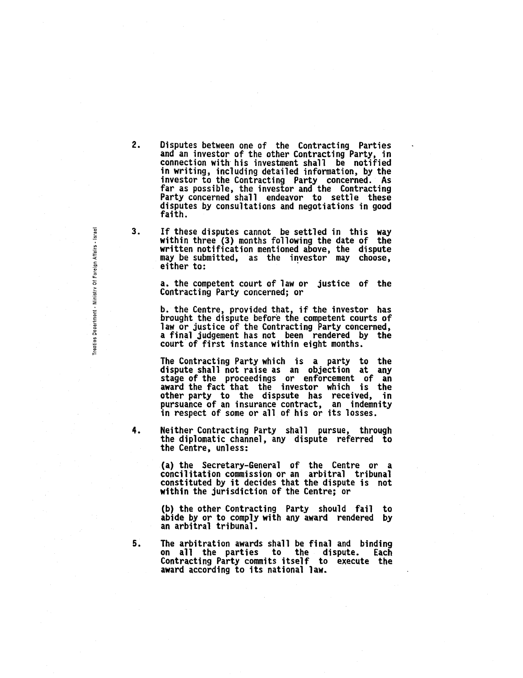- 2. Disputes between one of the Contracting Parties and an investor of the other Contracting Party, in connection with his investment shall be notified in writing, including detailed information, by the investor to the Contracting Party concerned. As far as possible, the investor and the Contracting Party concerned shall endeavor to settle these Party concerned shall endeavor to settle these<br>disputes by consultations and negotiations in good<br>faith.
- 3. If these disputes cannot be settled in this way within three (3) months following the date of the written notification mentioned above, the dispute may be submitted, as the investor may choose,<br>either to:

a. the competent court of law or justice of the Contracting Party concerned; or

b. the Centre, provided that, if the investor has brought the dispute before the competent courts of law or justice of the Contracting Party concerned, a final judgement has not been rendered by the court" of first instance within eight months.

The Contracting Party which is a party to the<br>dispute shall not raise as an objection at any dispute shall not raise as an objection at any stage of the proceedings or enforcement of an award the fact that the investor which is the other party to the dispsute has received, in<br>pursuance of an insurance contract, an indemnity in respect of some or all of his or its losses.

4. Neither Contracting Party shall pursue, through the diplomatic channel, any dispute referred to the Centre, unless:

> (a) the Secretary-General of the Centre or a concilitation commission or an arbitral tribunal constituted by it decides that the dispute is not within the jurisdiction of the Centre; or

> (b) the other Contracting Party should fail to abide by or to comply with any award rendered by an arbitral tribunal.

5. The arbitration awards shall be final and binding on all the parties to the dispute. Each Contracting Party commits itself to execute the award according to its national law.

m al eign Afl r. Ministry Of c .§ " Treaties De<br>-

~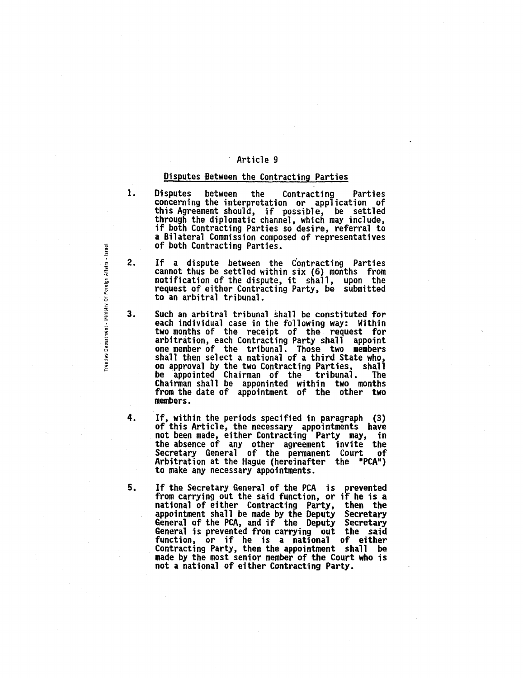# Disputes Between the Contracting Parties

- 1. Disputes between the Contracting Parties concerning the interpretation or application of this Agreement should, if possible, be settled through the diplomatic channel, which may include,<br>if both Contracting Parties so desire, referral to if both Contracting Parties so desire, referral to<br>a Bilateral Commission composed of representatives<br>of both Contracting Parties.
- 2. If a dispute between the Contracting Parties cannot thus be settled within six (6) months from notification of the dispute, it shall, upon the request of either Contracting Party, be submitted to an arbitral tribunal.
- 3. Such an arbitral tribunal shall be constituted for each individual case in the following way: Within two months of the receipt of the request for arbitration, each Contracting Party shall appoint one member of the tribunal. Those two members shall then select a national of a third State who, on approval by the two Contracting Parties, shall be appointed Chairman of the tribunal. The Chairman shall be apponinted within two months from the date of appointment of the other two members.
- 4. If, within the periods specified in paragraph (3) of this Article, the necessary appointments have not been made, either Contracting Party may, in the absence of any other agreement invite the Secretary General of the permanent Court of Arbitration at the Hague (hereinafter the "PCA") to make any necessary appointments.
- 5. If the Secretary General of the PCA is prevented from carrying out the said function, or if he is a national of either Contracting Party, appointment shall be made by the Deputy Secretary<br>General of the PCA, and if the Deputy Secretary<br>General is prevented from carrying out the said function, or if he is a national of either Contracting Party, then the appointment shall be made by the most senior member of the Court who is not a national of either Contracting Party.

Treaties Department - Ministry Of Foreign Affairs - Israel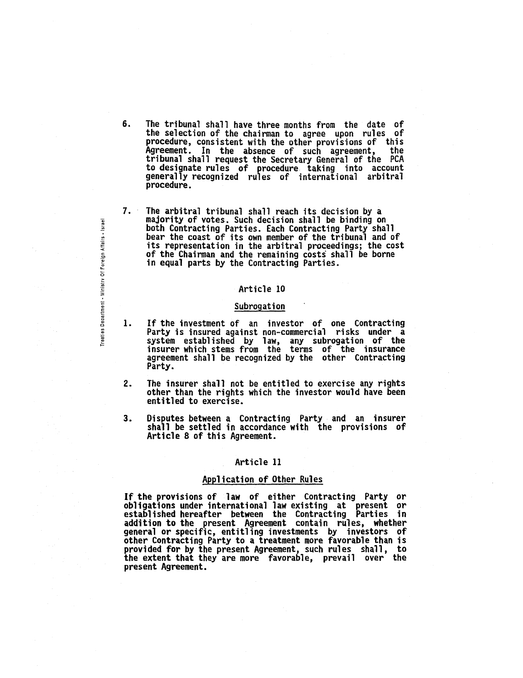- 6. The tribunal shall have three months from the date of the selection of the chairman to agree upon rules of procedure, consistent with the other provisions of this Agreement. In the absence of such agreement, the<br>tribunal shall request the Secretary General of the PCA tribunal shall request the Secretary General of the PCA<br>to designate rules of procedure taking into account generally recognized rules of international arbitral procedure.
- 7. The arbitral tribunal shall reach its decision by a majority of votes. Such decision shall be binding on both Contracting Parties. Each Contracting Party shall bear the coast of its own member of the tribunal and of its representation in the arbitral proceedings; the cost of the Chairman and the remaining costs shall be borne in equal parts by the Contracting Parties.

#### Subrogation

- 1. If the investment of an investor of one Contracting Party is insured against non-commercial risks under a system established by law, any subrogation of the insurer which stems from the terms of the insurance agreement shall be recognized by the other Contracting<br>Party.
- 2. The insurer shall not be entitled to exercise any rights other than the rights which the investor would have been entitled to exercise.
- 3. Disputes between a Contracting Party and an insurer shall be settled in accordance with the provisions of Article 8 of this Agreement.

#### Article 11

#### Application of Other Rules

If the provisions of law of either Contracting Party or obligations under international law existing at present or established hereafter between the Contracting Parties in addition to the present Agreement contain rules, whether general or specific, entitling investments by investors of other Contracting Party to a treatment more favorable than is provided for by the present Agreement, such rules shall, to the extent that they are more favorable, prevail over the present Agreement.

ign Affairs - Israel ~ ~ Ministry Of  $t$ men Treaties Dep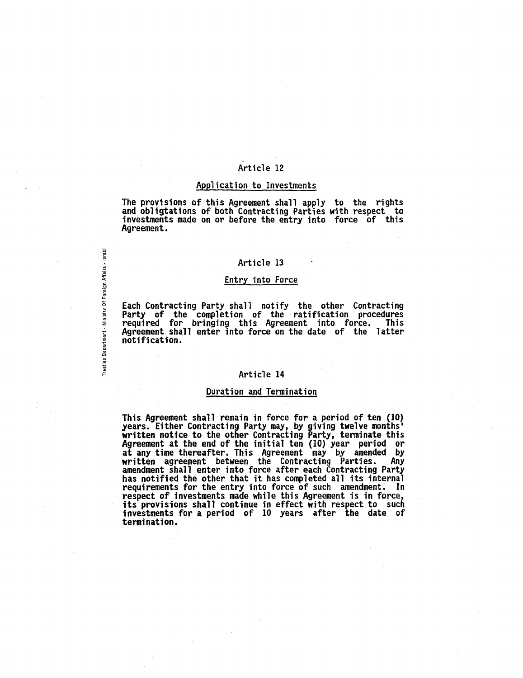#### Application to Investments

The provisions of this Agreement shall apply to the rights and obligtations of both Contracting Parties with respect to investments made on or before the entry into force of this Agreement.

#### Article 13

#### Entry into Force

Each Contracting Party shall notify the other Contracting Party of the completion of the -ratification procedures required for bringing this Agreement into force. This Agreement shall enter into force on the date of the latter notification.

Freaties Department - Ministry Of Foreign Affairs - Israel

#### Article 14

#### Duration and Termination

This Agreement shall remain in force for a period of ten (IO) years. Either Contracting Party may, by giving twelve months' written notice to the other Contracting Party, terminate this Agreement at the end of the initial ten (IO) year period or at any time thereafter. This Agreement may by amended by<br>written agreement between the Contracting Parties. Any<br>amendment shall enter into force after each Contracting Party<br>has notified the other that it has completed all requirements for the entry into force of such amendment. In respect of investments made while this Agreement is in force, its provisions shall continue in effect with respect to such its provisions shall continue in effect with respect to such<br>investments for a period of 10 years after the date of termination.